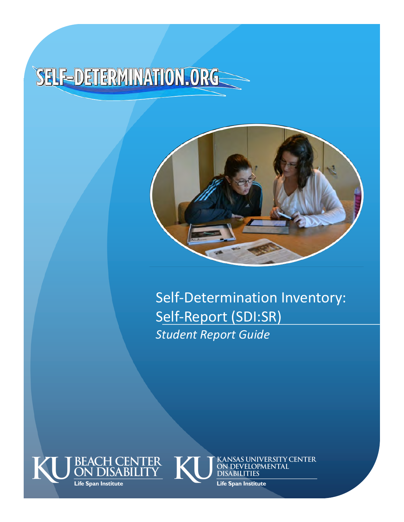# SELF-DETERMINATION.ORG



Self-Determination Inventory: Self-Report (SDI:SR) *Student Report Guide*





KANSAS UNIVERSITY CENTER<br>ON DEVELOPMENTAL **DISABILITIES** 

**Life Span Institute**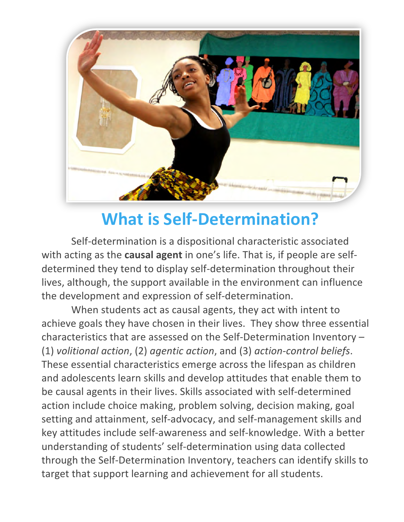

# **What is Self-Determination?**

Self-determination is a dispositional characteristic associated with acting as the **causal agent** in one's life. That is, if people are selfdetermined they tend to display self-determination throughout their lives, although, the support available in the environment can influence the development and expression of self-determination.

When students act as causal agents, they act with intent to achieve goals they have chosen in their lives. They show three essential characteristics that are assessed on the Self-Determination Inventory  $-$ (1) *volitional action*, (2) *agentic action*, and (3) *action-control beliefs*. These essential characteristics emerge across the lifespan as children and adolescents learn skills and develop attitudes that enable them to be causal agents in their lives. Skills associated with self-determined action include choice making, problem solving, decision making, goal setting and attainment, self-advocacy, and self-management skills and key attitudes include self-awareness and self-knowledge. With a better understanding of students' self-determination using data collected through the Self-Determination Inventory, teachers can identify skills to target that support learning and achievement for all students.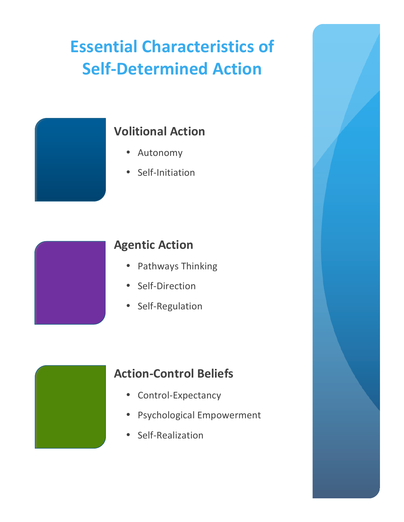# **Essential Characteristics of Self-Determined Action**



### **Volitional Action**

- Autonomy
- Self-Initiation



### **Agentic Action**

- Pathways Thinking
- Self-Direction
- Self-Regulation



### **Action-Control Beliefs**

- Control-Expectancy
- Psychological Empowerment
- Self-Realization

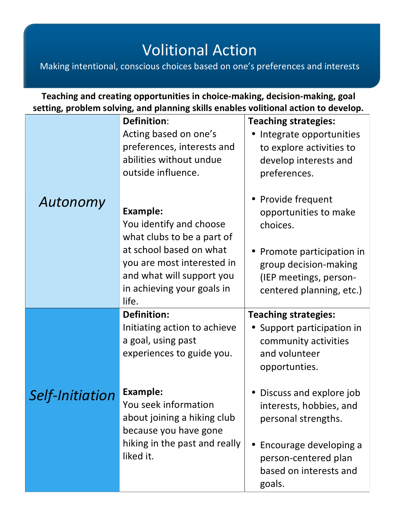### **Volitional Action**

Making intentional, conscious choices based on one's preferences and interests

```
Teaching and creating opportunities in choice-making, decision-making, goal
setting, problem solving, and planning skills enables volitional action to develop.
```

|                 | <b>Definition:</b><br>Acting based on one's<br>preferences, interests and<br>abilities without undue<br>outside influence. | <b>Teaching strategies:</b><br>Integrate opportunities<br>to explore activities to<br>develop interests and<br>preferences. |
|-----------------|----------------------------------------------------------------------------------------------------------------------------|-----------------------------------------------------------------------------------------------------------------------------|
| Autonomy        | <b>Example:</b><br>You identify and choose<br>what clubs to be a part of                                                   | Provide frequent<br>opportunities to make<br>choices.                                                                       |
|                 | at school based on what<br>you are most interested in<br>and what will support you<br>in achieving your goals in<br>life.  | Promote participation in<br>group decision-making<br>(IEP meetings, person-<br>centered planning, etc.)                     |
|                 | <b>Definition:</b><br>Initiating action to achieve<br>a goal, using past<br>experiences to guide you.                      | <b>Teaching strategies:</b><br>Support participation in<br>community activities<br>and volunteer<br>opportunties.           |
| Self-Initiation | <b>Example:</b><br>You seek information<br>about joining a hiking club<br>because you have gone                            | Discuss and explore job<br>interests, hobbies, and<br>personal strengths.                                                   |
|                 | hiking in the past and really<br>liked it.                                                                                 | Encourage developing a<br>person-centered plan<br>based on interests and<br>goals.                                          |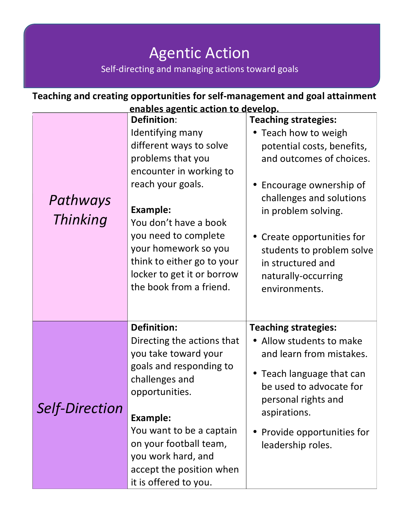### **Agentic Action** Self-directing and managing actions toward goals

| Teaching and creating opportunities for self-management and goal attainment |                                                                                                                                                                                                                                                                                                                           |                                                                                                                                                                                                                                                                                                                    |  |  |
|-----------------------------------------------------------------------------|---------------------------------------------------------------------------------------------------------------------------------------------------------------------------------------------------------------------------------------------------------------------------------------------------------------------------|--------------------------------------------------------------------------------------------------------------------------------------------------------------------------------------------------------------------------------------------------------------------------------------------------------------------|--|--|
| enables agentic action to develop.                                          |                                                                                                                                                                                                                                                                                                                           |                                                                                                                                                                                                                                                                                                                    |  |  |
| Pathways<br><b>Thinking</b>                                                 | <b>Definition:</b><br>Identifying many<br>different ways to solve<br>problems that you<br>encounter in working to<br>reach your goals.<br><b>Example:</b><br>You don't have a book<br>you need to complete<br>your homework so you<br>think to either go to your<br>locker to get it or borrow<br>the book from a friend. | <b>Teaching strategies:</b><br>• Teach how to weigh<br>potential costs, benefits,<br>and outcomes of choices.<br>Encourage ownership of<br>challenges and solutions<br>in problem solving.<br>• Create opportunities for<br>students to problem solve<br>in structured and<br>naturally-occurring<br>environments. |  |  |
| <b>Self-Direction</b>                                                       | <b>Definition:</b><br>Directing the actions that<br>you take toward your<br>goals and responding to<br>challenges and<br>opportunities.<br><b>Example:</b><br>You want to be a captain<br>on your football team,<br>you work hard, and<br>accept the position when<br>it is offered to you.                               | <b>Teaching strategies:</b><br>• Allow students to make<br>and learn from mistakes.<br>• Teach language that can<br>be used to advocate for<br>personal rights and<br>aspirations.<br>Provide opportunities for<br>leadership roles.                                                                               |  |  |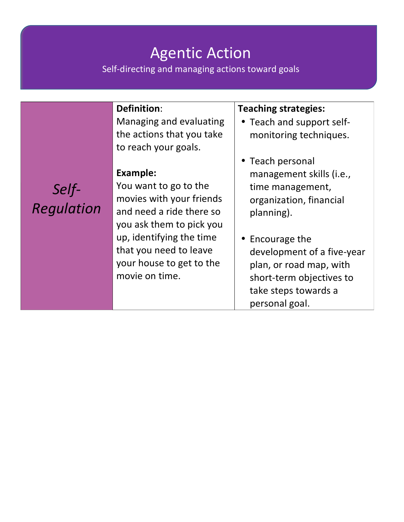## **Agentic Action**

**Recognizing** Self-directing and managing actions toward goals and managing actions of the self-

#### **Definition**:

Managing and evaluating the actions that you take to reach your goals.

#### Example:

*Self-Regulation* You want to go to the movies with your friends and need a ride there so you ask them to pick you up, identifying the time that you need to leave your house to get to the movie on time.

#### **Teaching strategies:**

- Teach and support selfmonitoring techniques.
- Teach personal management skills (i.e., time management, organization, financial planning).
- Encourage the development of a five-year plan, or road map, with short-term objectives to take steps towards a personal goal.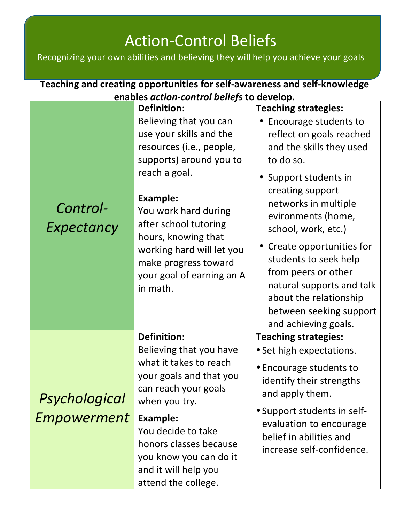### **Action-Control Beliefs**

ACCIOTT COTTCI DETICTS<br>Recognizing your own abilities and believing they will help you achieve your goals

| Teaching and creating opportunities for self-awareness and self-knowledge |                                                                                                                                                                                                                                                                                                                                          |                                                                                                                                                                                                                                                                                                                                                                                                                                   |  |  |
|---------------------------------------------------------------------------|------------------------------------------------------------------------------------------------------------------------------------------------------------------------------------------------------------------------------------------------------------------------------------------------------------------------------------------|-----------------------------------------------------------------------------------------------------------------------------------------------------------------------------------------------------------------------------------------------------------------------------------------------------------------------------------------------------------------------------------------------------------------------------------|--|--|
| enables action-control beliefs to develop.                                |                                                                                                                                                                                                                                                                                                                                          |                                                                                                                                                                                                                                                                                                                                                                                                                                   |  |  |
| Control-<br>Expectancy                                                    | <b>Definition:</b><br>Believing that you can<br>use your skills and the<br>resources (i.e., people,<br>supports) around you to<br>reach a goal.<br><b>Example:</b><br>You work hard during<br>after school tutoring<br>hours, knowing that<br>working hard will let you<br>make progress toward<br>your goal of earning an A<br>in math. | <b>Teaching strategies:</b><br>Encourage students to<br>reflect on goals reached<br>and the skills they used<br>to do so.<br>• Support students in<br>creating support<br>networks in multiple<br>evironments (home,<br>school, work, etc.)<br>Create opportunities for<br>students to seek help<br>from peers or other<br>natural supports and talk<br>about the relationship<br>between seeking support<br>and achieving goals. |  |  |
| Psychological<br><b>Empowerment</b>                                       | <b>Definition:</b><br>Believing that you have<br>what it takes to reach<br>your goals and that you<br>can reach your goals<br>when you try.<br><b>Example:</b><br>You decide to take<br>honors classes because<br>you know you can do it<br>and it will help you<br>attend the college.                                                  | <b>Teaching strategies:</b><br>• Set high expectations.<br>• Encourage students to<br>identify their strengths<br>and apply them.<br>• Support students in self-<br>evaluation to encourage<br>belief in abilities and<br>increase self-confidence.                                                                                                                                                                               |  |  |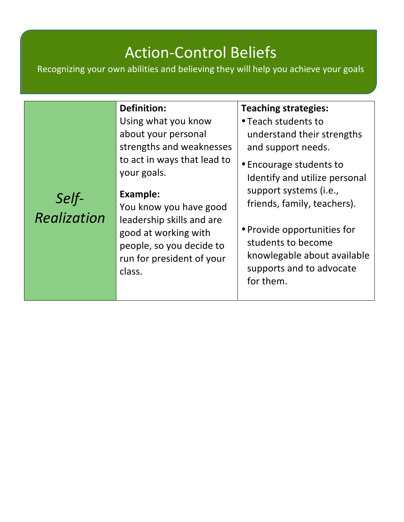## Action-Control Beliefs

Recognizing your own abilities and believing they will help you achieve your goals

| <b>Definition:</b><br>Using what you know<br>about your personal<br>strengths and weaknesses<br>to act in ways that lead to<br>your goals.                                                | <b>Teaching strategies:</b><br>• Teach students to<br>understand their strengths<br>and support needs.                                                                                                                                         |
|-------------------------------------------------------------------------------------------------------------------------------------------------------------------------------------------|------------------------------------------------------------------------------------------------------------------------------------------------------------------------------------------------------------------------------------------------|
|                                                                                                                                                                                           |                                                                                                                                                                                                                                                |
| <b>Example:</b><br>Self-<br>Realization<br>You know you have good<br>leadership skills and are<br>good at working with<br>people, so you decide to<br>run for president of your<br>class. | • Encourage students to<br>Identify and utilize personal<br>support systems (i.e.,<br>friends, family, teachers).<br>• Provide opportunities for<br>students to become<br>knowlegable about available<br>supports and to advocate<br>for them. |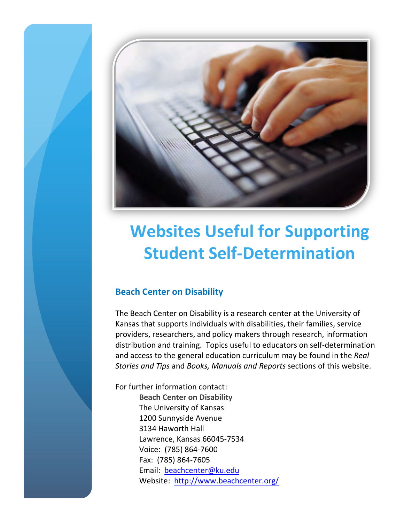

# **Websites Useful for Supporting Student Self-Determination**

#### **Beach Center on Disability**

The Beach Center on Disability is a research center at the University of Kansas that supports individuals with disabilities, their families, service providers, researchers, and policy makers through research, information distribution and training. Topics useful to educators on self-determination and access to the general education curriculum may be found in the *Real Stories and Tips and Books, Manuals and Reports sections of this website.* 

For further information contact: **Beach Center on Disability** The University of Kansas 1200 Sunnyside Avenue 3134 Haworth Hall Lawrence, Kansas 66045-7534 Voice: (785) 864-7600 Fax: (785) 864-7605 Email: beachcenter@ku.edu Website: http://www.beachcenter.org/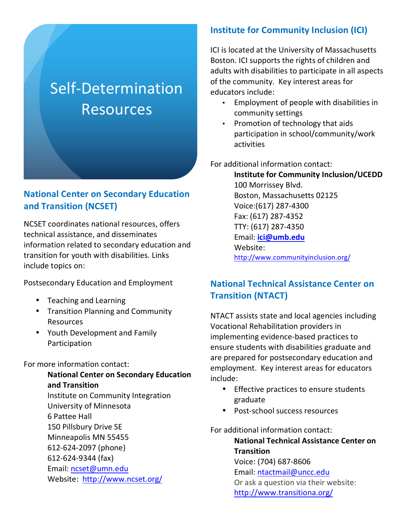### Self-Determination Resources

#### **National Center on Secondary Education and Transition (NCSET)**

NCSET coordinates national resources, offers technical assistance, and disseminates information related to secondary education and transition for youth with disabilities. Links include topics on:

Postsecondary Education and Employment

- Teaching and Learning
- Transition Planning and Community Resources
- Youth Development and Family Participation

#### For more information contact:

**National Center on Secondary Education and Transition**  Institute on Community Integration University of Minnesota 6 Pattee Hall 150 Pillsbury Drive SE Minneapolis MN 55455 612-624-2097 (phone) 612-624-9344 (fax) Email: ncset@umn.edu Website: http://www.ncset.org/

#### **Institute for Community Inclusion (ICI)**

ICI is located at the University of Massachusetts Boston. ICI supports the rights of children and adults with disabilities to participate in all aspects of the community. Key interest areas for educators include:

- Employment of people with disabilities in community settings
- Promotion of technology that aids participation in school/community/work activities

For additional information contact:

**Institute for Community Inclusion/UCEDD** 100 Morrissey Blvd. Boston, Massachusetts 02125 Voice:(617) 287-4300 Fax: (617) 287-4352 TTY: (617) 287-4350 Email: **ici@umb.edu** Website: http://www.communityinclusion.org/ 

#### **National Technical Assistance Center on Transition (NTACT)**

NTACT assists state and local agencies including Vocational Rehabilitation providers in implementing evidence-based practices to ensure students with disabilities graduate and are prepared for postsecondary education and employment. Key interest areas for educators include:

- Effective practices to ensure students graduate
- Post-school success resources

For additional information contact: **National Technical Assistance Center on Transition** Voice: (704) 687-8606 Email: ntactmail@uncc.edu Or ask a question via their website: http://www.transitiona.org/